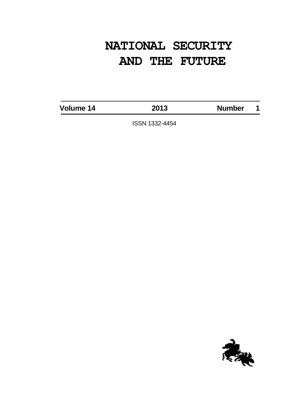# **NATIONAL SECURITY AND THE FUTURE**

**Volume 14 2013 Number 1**

ISSN 1332-4454